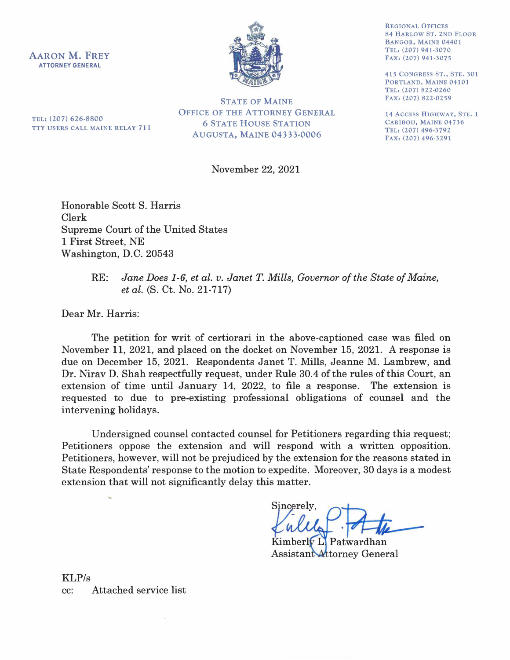AARON M. FREY **ATTORNEY GENERAL** 



REGIONAL OFFICES 84 HARLOW ST. 2ND FLOOR BANGOR, MAINE 04401 TEL: (207) 941-3070 FAX: (207) 941-3075

415 CONGRESS ST., STE. 301 PORTLAND, MAINE 04101 TEL: (207) 822-0260 FAX: (207) 822-0259

14 ACCESS HIGHWAY, STE. 1 CARIBOU, MAINE 04736 TEL: (207) 496-3792 FAX: (207) 496-3291

TEL: (207) 626-8800 TTY USERS CALL MAINE RELAY **711** 

STATE OF MAINE OFFICE OF THE ATTORNEY GENERAL 6 STATE HOUSE STATION AUGUSTA, MAINE 04333-0006

November 22, 2021

Honorable Scott S. Harris Clerk Supreme Court of the United States 1 First Street, NE Washington, D.C. 20543

## RE: *Jane Does 1-6, et al. v. Janet T. Mills, Governor of the State of Maine, et al.* (S. Ct. No. 21-717)

Dear Mr. Harris:

The petition for writ of certiorari in the above-captioned case was filed on November 11, 2021, and placed on the docket on November 15, 2021. A response is due on December 15, 2021. Respondents Janet T. Mills, Jeanne M. Lambrew, and Dr. Nirav D. Shah respectfully request, under Rule 30.4 of the rules of this Court, an extension of time until January 14, 2022, to file a response. The extension is requested to due to pre-existing professional obligations of counsel and the intervening holidays.

Undersigned counsel contacted counsel for Petitioners regarding this request; Petitioners oppose the extension and will respond with a written opposition. Petitioners, however, will not be prejudiced by the extension for the reasons stated in State Respondents' response to the motion to expedite. Moreover, 30 days is a modest extension that will not significantly delay this matter.

 $\rm Sineerelv.$ 

Kimberly L. Patwardhan Assistant Attorney General

KLP/s cc: Attached service list